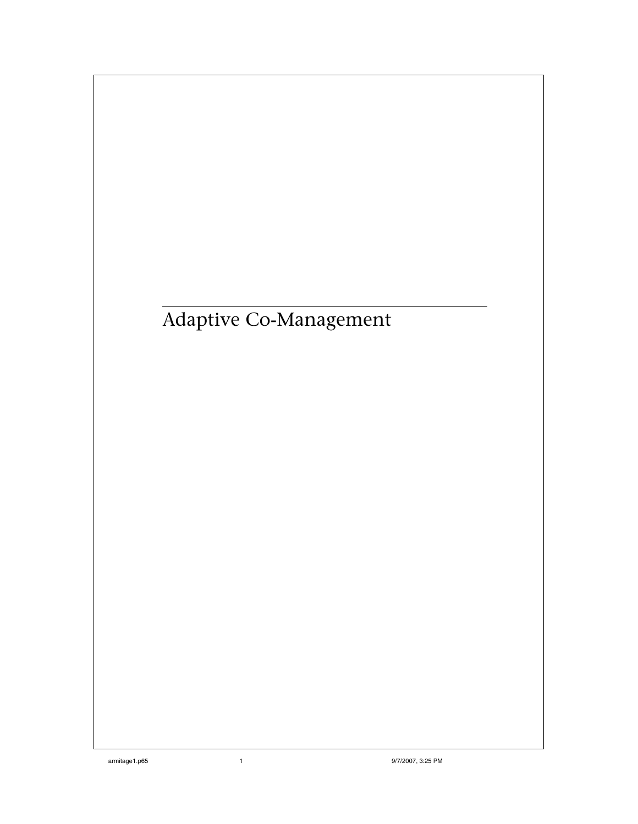# Adaptive Co-Management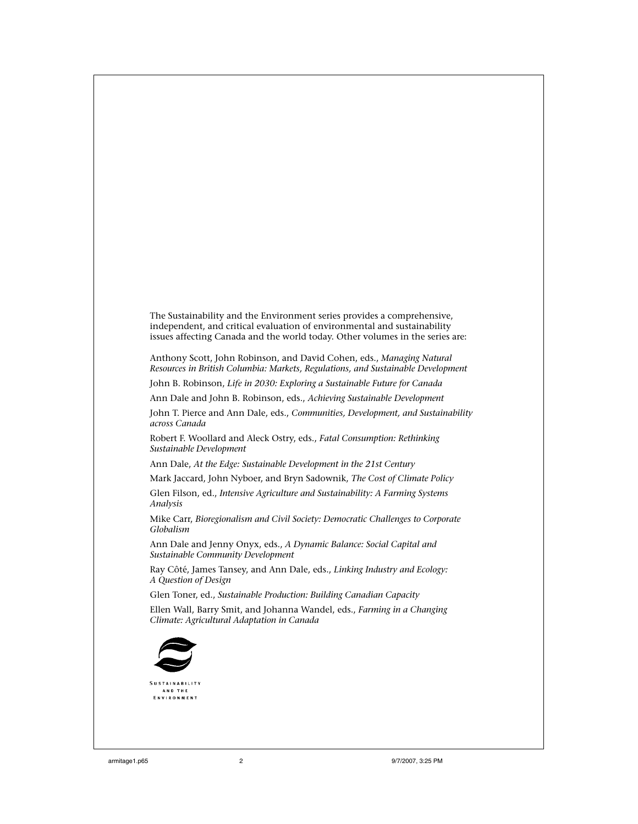The Sustainability and the Environment series provides a comprehensive, independent, and critical evaluation of environmental and sustainability issues affecting Canada and the world today. Other volumes in the series are:

Anthony Scott, John Robinson, and David Cohen, eds., *Managing Natural Resources in British Columbia: Markets, Regulations, and Sustainable Development*

John B. Robinson, *Life in 2030: Exploring a Sustainable Future for Canada*

Ann Dale and John B. Robinson, eds., *Achieving Sustainable Development*

John T. Pierce and Ann Dale, eds., *Communities, Development, and Sustainability across Canada*

Robert F. Woollard and Aleck Ostry, eds., *Fatal Consumption: Rethinking Sustainable Development*

Ann Dale, *At the Edge: Sustainable Development in the 21st Century*

Mark Jaccard, John Nyboer, and Bryn Sadownik, *The Cost of Climate Policy*

Glen Filson, ed., *Intensive Agriculture and Sustainability: A Farming Systems Analysis*

Mike Carr, *Bioregionalism and Civil Society: Democratic Challenges to Corporate Globalism*

Ann Dale and Jenny Onyx, eds., *A Dynamic Balance: Social Capital and Sustainable Community Development*

Ray Côté, James Tansey, and Ann Dale, eds., *Linking Industry and Ecology: A Question of Design*

Glen Toner, ed., *Sustainable Production: Building Canadian Capacity*

Ellen Wall, Barry Smit, and Johanna Wandel, eds., *Farming in a Changing Climate: Agricultural Adaptation in Canada*



**SUSTAINABILITY** AND THE **ENVIRONMENT**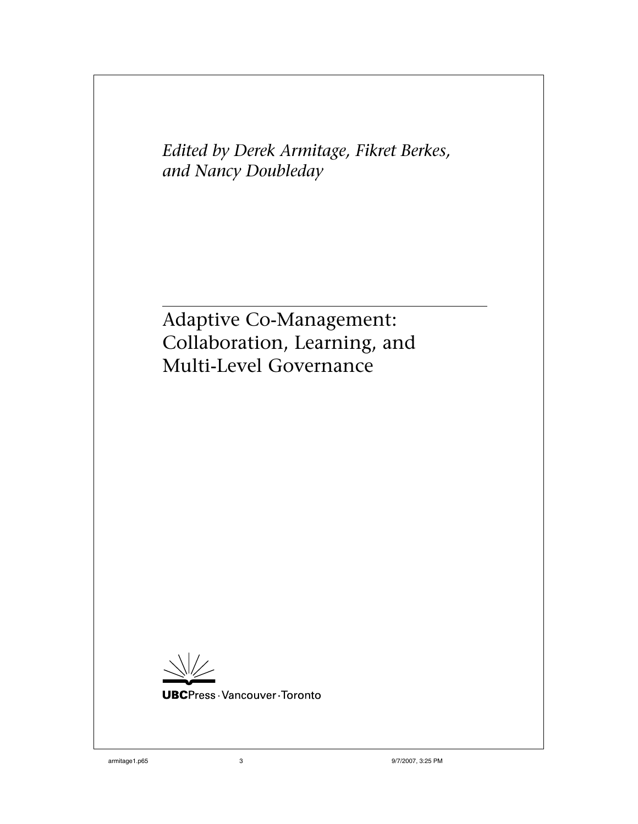*Edited by Derek Armitage, Fikret Berkes, and Nancy Doubleday* Adaptive Co-Management: Collaboration, Learning, and Multi-Level Governance **UBC**Press Vancouver Toronto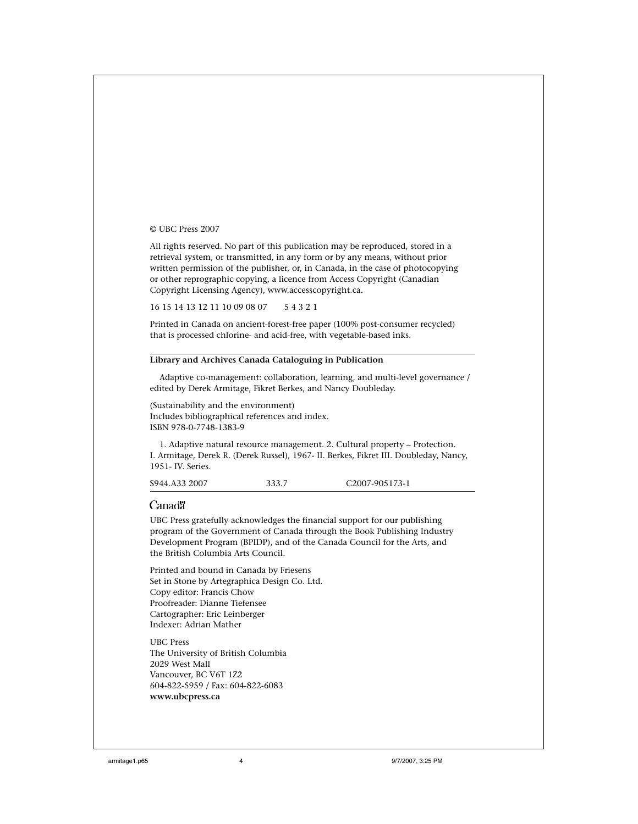© UBC Press 2007

All rights reserved. No part of this publication may be reproduced, stored in a retrieval system, or transmitted, in any form or by any means, without prior written permission of the publisher, or, in Canada, in the case of photocopying or other reprographic copying, a licence from Access Copyright (Canadian Copyright Licensing Agency), www.accesscopyright.ca.

16 15 14 13 12 11 10 09 08 07 5 4 3 2 1

Printed in Canada on ancient-forest-free paper (100% post-consumer recycled) that is processed chlorine- and acid-free, with vegetable-based inks.

#### **Library and Archives Canada Cataloguing in Publication**

Adaptive co-management: collaboration, learning, and multi-level governance / edited by Derek Armitage, Fikret Berkes, and Nancy Doubleday.

(Sustainability and the environment) Includes bibliographical references and index. ISBN 978-0-7748-1383-9

1. Adaptive natural resource management. 2. Cultural property – Protection. I. Armitage, Derek R. (Derek Russel), 1967- II. Berkes, Fikret III. Doubleday, Nancy, 1951- IV. Series.

S944.A33 2007 333.7 C2007-905173-1

## **Canadä**

UBC Press gratefully acknowledges the financial support for our publishing program of the Government of Canada through the Book Publishing Industry Development Program (BPIDP), and of the Canada Council for the Arts, and the British Columbia Arts Council.

Printed and bound in Canada by Friesens Set in Stone by Artegraphica Design Co. Ltd. Copy editor: Francis Chow Proofreader: Dianne Tiefensee Cartographer: Eric Leinberger Indexer: Adrian Mather

UBC Press The University of British Columbia 2029 West Mall Vancouver, BC V6T 1Z2 604-822-5959 / Fax: 604-822-6083 **www.ubcpress.ca**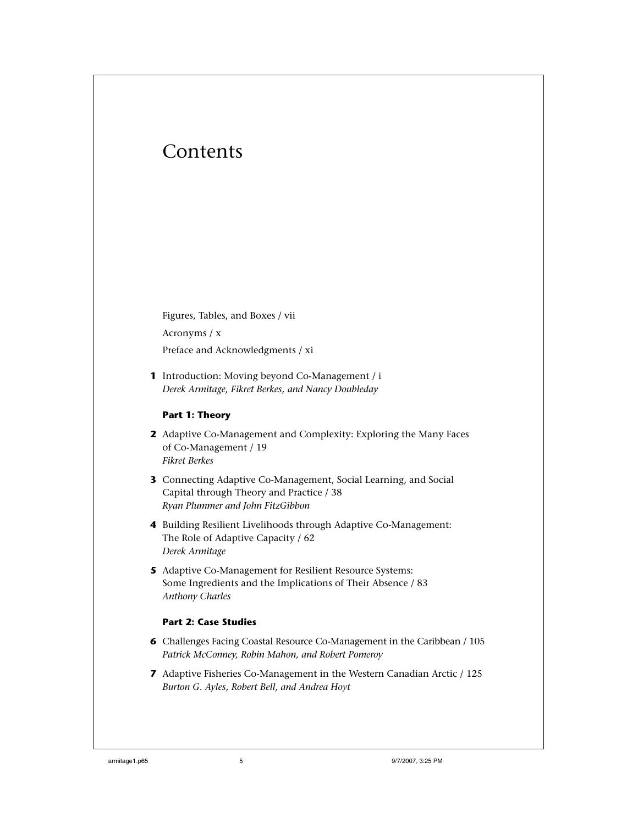

Figures, Tables, and Boxes / vii Acronyms / x Preface and Acknowledgments / xi

**1** Introduction: Moving beyond Co-Management / i *Derek Armitage, Fikret Berkes, and Nancy Doubleday*

## **Part 1: Theory**

- **2** Adaptive Co-Management and Complexity: Exploring the Many Faces of Co-Management / 19 *Fikret Berkes*
- **3** Connecting Adaptive Co-Management, Social Learning, and Social Capital through Theory and Practice / 38 *Ryan Plummer and John FitzGibbon*
- **4** Building Resilient Livelihoods through Adaptive Co-Management: The Role of Adaptive Capacity / 62 *Derek Armitage*
- **5** Adaptive Co-Management for Resilient Resource Systems: Some Ingredients and the Implications of Their Absence / 83 *Anthony Charles*

## **Part 2: Case Studies**

- **6** Challenges Facing Coastal Resource Co-Management in the Caribbean / 105 *Patrick McConney, Robin Mahon, and Robert Pomeroy*
- **7** Adaptive Fisheries Co-Management in the Western Canadian Arctic / 125 *Burton G. Ayles, Robert Bell, and Andrea Hoyt*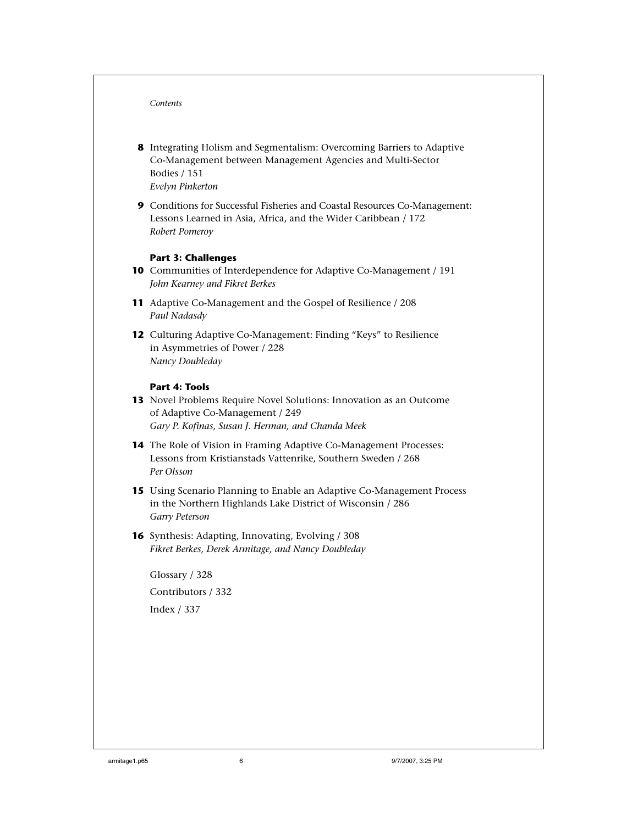*Contents*

- **8** Integrating Holism and Segmentalism: Overcoming Barriers to Adaptive Co-Management between Management Agencies and Multi-Sector Bodies / 151 *Evelyn Pinkerton*
- **9** Conditions for Successful Fisheries and Coastal Resources Co-Management: Lessons Learned in Asia, Africa, and the Wider Caribbean / 172 *Robert Pomeroy*

#### **Part 3: Challenges**

- **10** Communities of Interdependence for Adaptive Co-Management / 191 *John Kearney and Fikret Berkes*
- **11** Adaptive Co-Management and the Gospel of Resilience / 208 *Paul Nadasdy*
- **12** Culturing Adaptive Co-Management: Finding "Keys" to Resilience in Asymmetries of Power / 228 *Nancy Doubleday*

#### **Part 4: Tools**

- **13** Novel Problems Require Novel Solutions: Innovation as an Outcome of Adaptive Co-Management / 249 *Gary P. Kofinas, Susan J. Herman, and Chanda Meek*
- **14** The Role of Vision in Framing Adaptive Co-Management Processes: Lessons from Kristianstads Vattenrike, Southern Sweden / 268 *Per Olsson*
- **15** Using Scenario Planning to Enable an Adaptive Co-Management Process in the Northern Highlands Lake District of Wisconsin / 286 *Garry Peterson*
- **16** Synthesis: Adapting, Innovating, Evolving / 308 *Fikret Berkes, Derek Armitage, and Nancy Doubleday*

Glossary / 328

Contributors / 332

Index / 337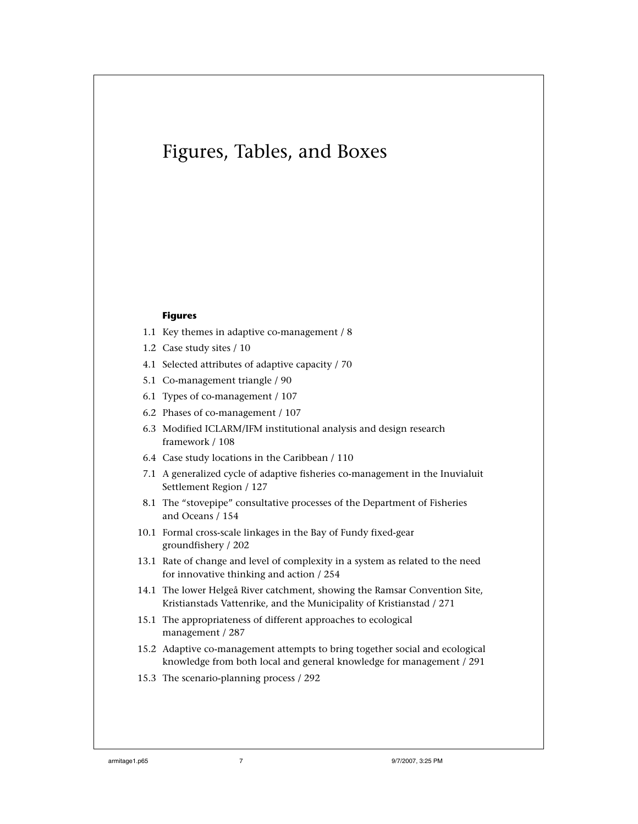## Figures, Tables, and Boxes

### **Figures**

- 1.1 Key themes in adaptive co-management / 8
- 1.2 Case study sites / 10
- 4.1 Selected attributes of adaptive capacity / 70
- 5.1 Co-management triangle / 90
- 6.1 Types of co-management / 107
- 6.2 Phases of co-management / 107
- 6.3 Modified ICLARM/IFM institutional analysis and design research framework / 108
- 6.4 Case study locations in the Caribbean / 110
- 7.1 A generalized cycle of adaptive fisheries co-management in the Inuvialuit Settlement Region / 127
- 8.1 The "stovepipe" consultative processes of the Department of Fisheries and Oceans / 154
- 10.1 Formal cross-scale linkages in the Bay of Fundy fixed-gear groundfishery / 202
- 13.1 Rate of change and level of complexity in a system as related to the need for innovative thinking and action / 254
- 14.1 The lower Helgeå River catchment, showing the Ramsar Convention Site, Kristianstads Vattenrike, and the Municipality of Kristianstad / 271
- 15.1 The appropriateness of different approaches to ecological management / 287
- 15.2 Adaptive co-management attempts to bring together social and ecological knowledge from both local and general knowledge for management / 291
- 15.3 The scenario-planning process / 292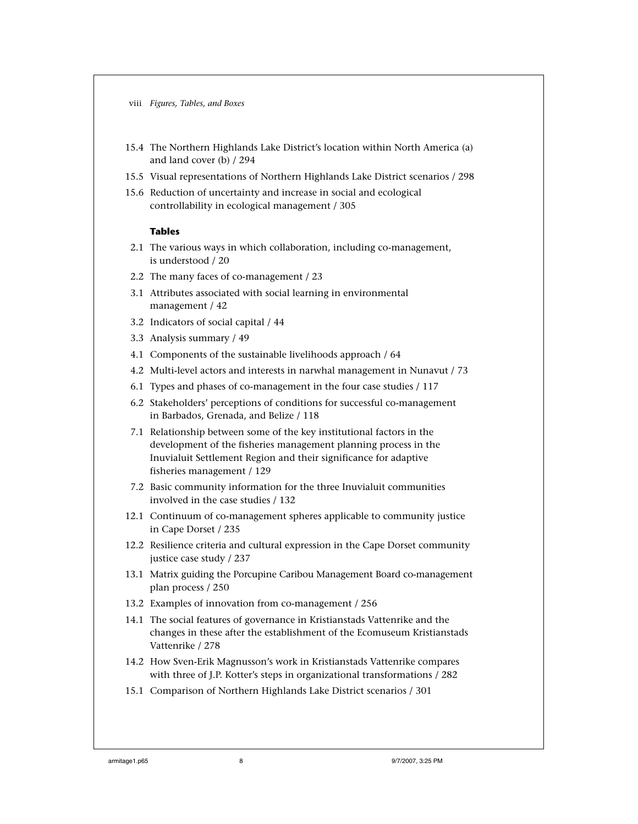viii *Figures, Tables, and Boxes*

- 15.4 The Northern Highlands Lake District's location within North America (a) and land cover (b) / 294
- 15.5 Visual representations of Northern Highlands Lake District scenarios / 298
- 15.6 Reduction of uncertainty and increase in social and ecological controllability in ecological management / 305

#### **Tables**

- 2.1 The various ways in which collaboration, including co-management, is understood / 20
- 2.2 The many faces of co-management / 23
- 3.1 Attributes associated with social learning in environmental management / 42
- 3.2 Indicators of social capital / 44
- 3.3 Analysis summary / 49
- 4.1 Components of the sustainable livelihoods approach / 64
- 4.2 Multi-level actors and interests in narwhal management in Nunavut / 73
- 6.1 Types and phases of co-management in the four case studies / 117
- 6.2 Stakeholders' perceptions of conditions for successful co-management in Barbados, Grenada, and Belize / 118
- 7.1 Relationship between some of the key institutional factors in the development of the fisheries management planning process in the Inuvialuit Settlement Region and their significance for adaptive fisheries management / 129
- 7.2 Basic community information for the three Inuvialuit communities involved in the case studies / 132
- 12.1 Continuum of co-management spheres applicable to community justice in Cape Dorset / 235
- 12.2 Resilience criteria and cultural expression in the Cape Dorset community justice case study / 237
- 13.1 Matrix guiding the Porcupine Caribou Management Board co-management plan process / 250
- 13.2 Examples of innovation from co-management / 256
- 14.1 The social features of governance in Kristianstads Vattenrike and the changes in these after the establishment of the Ecomuseum Kristianstads Vattenrike / 278
- 14.2 How Sven-Erik Magnusson's work in Kristianstads Vattenrike compares with three of J.P. Kotter's steps in organizational transformations / 282
- 15.1 Comparison of Northern Highlands Lake District scenarios / 301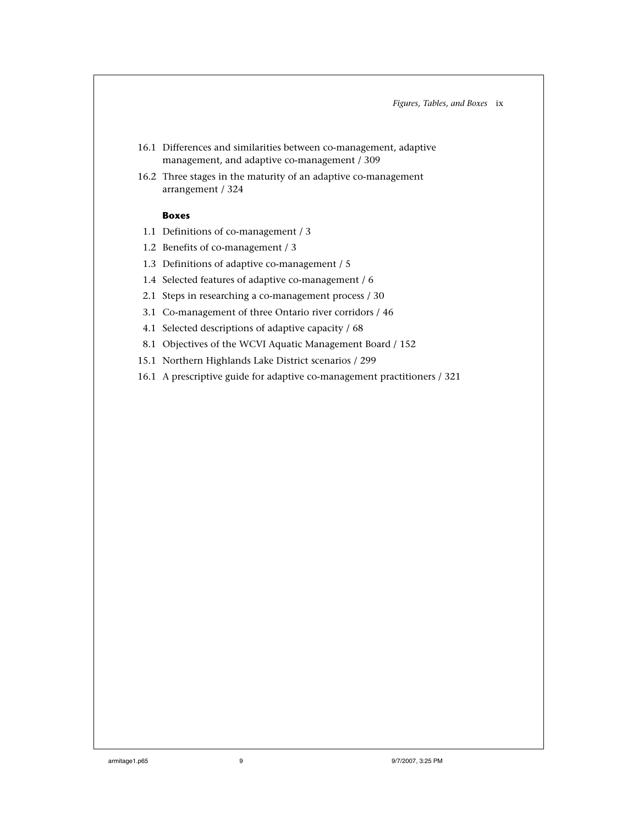*Figures, Tables, and Boxes* ix

- 16.1 Differences and similarities between co-management, adaptive management, and adaptive co-management / 309
- 16.2 Three stages in the maturity of an adaptive co-management arrangement / 324

#### **Boxes**

- 1.1 Definitions of co-management / 3
- 1.2 Benefits of co-management / 3
- 1.3 Definitions of adaptive co-management / 5
- 1.4 Selected features of adaptive co-management / 6
- 2.1 Steps in researching a co-management process / 30
- 3.1 Co-management of three Ontario river corridors / 46
- 4.1 Selected descriptions of adaptive capacity / 68
- 8.1 Objectives of the WCVI Aquatic Management Board / 152
- 15.1 Northern Highlands Lake District scenarios / 299
- 16.1 A prescriptive guide for adaptive co-management practitioners / 321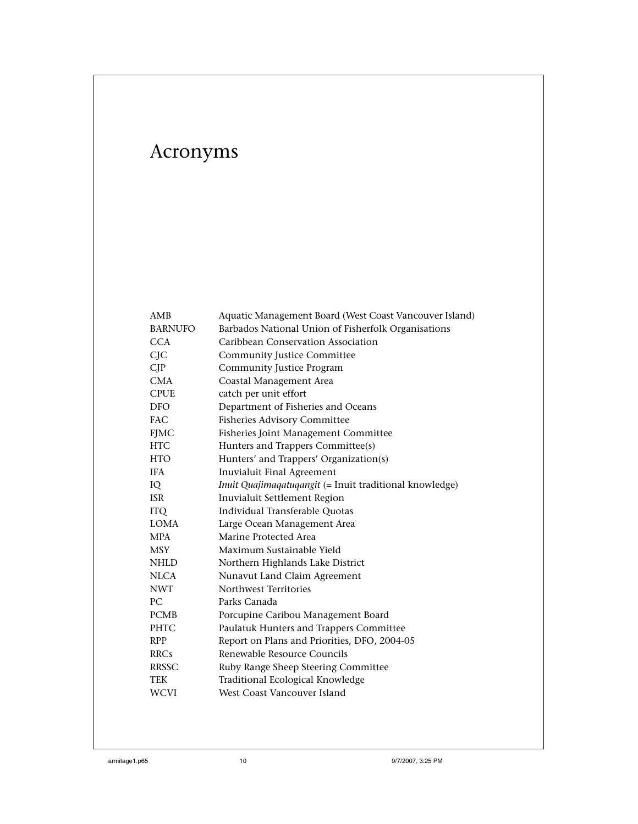## Acronyms

| AMB            | Aquatic Management Board (West Coast Vancouver Island)  |
|----------------|---------------------------------------------------------|
| <b>BARNUFO</b> | Barbados National Union of Fisherfolk Organisations     |
| <b>CCA</b>     | Caribbean Conservation Association                      |
| CJC            | <b>Community Justice Committee</b>                      |
| CJP            | Community Justice Program                               |
| <b>CMA</b>     | Coastal Management Area                                 |
| <b>CPUE</b>    | catch per unit effort                                   |
| <b>DFO</b>     | Department of Fisheries and Oceans                      |
| FAC            | <b>Fisheries Advisory Committee</b>                     |
| <b>FJMC</b>    | Fisheries Joint Management Committee                    |
| <b>HTC</b>     | Hunters and Trappers Committee(s)                       |
| <b>HTO</b>     | Hunters' and Trappers' Organization(s)                  |
| <b>IFA</b>     | Inuvialuit Final Agreement                              |
| IQ             | Inuit Quajimaqatuqangit (= Inuit traditional knowledge) |
| <b>ISR</b>     | Inuvialuit Settlement Region                            |
| <b>ITQ</b>     | Individual Transferable Quotas                          |
| <b>LOMA</b>    | Large Ocean Management Area                             |
| <b>MPA</b>     | Marine Protected Area                                   |
| <b>MSY</b>     | Maximum Sustainable Yield                               |
| <b>NHLD</b>    | Northern Highlands Lake District                        |
| <b>NLCA</b>    | Nunavut Land Claim Agreement                            |
| <b>NWT</b>     | Northwest Territories                                   |
| PC.            | Parks Canada                                            |
| <b>PCMB</b>    | Porcupine Caribou Management Board                      |
| <b>PHTC</b>    | Paulatuk Hunters and Trappers Committee                 |
| <b>RPP</b>     | Report on Plans and Priorities, DFO, 2004-05            |
| <b>RRCs</b>    | Renewable Resource Councils                             |
| <b>RRSSC</b>   | Ruby Range Sheep Steering Committee                     |
| TEK            | Traditional Ecological Knowledge                        |
| <b>WCVI</b>    | West Coast Vancouver Island                             |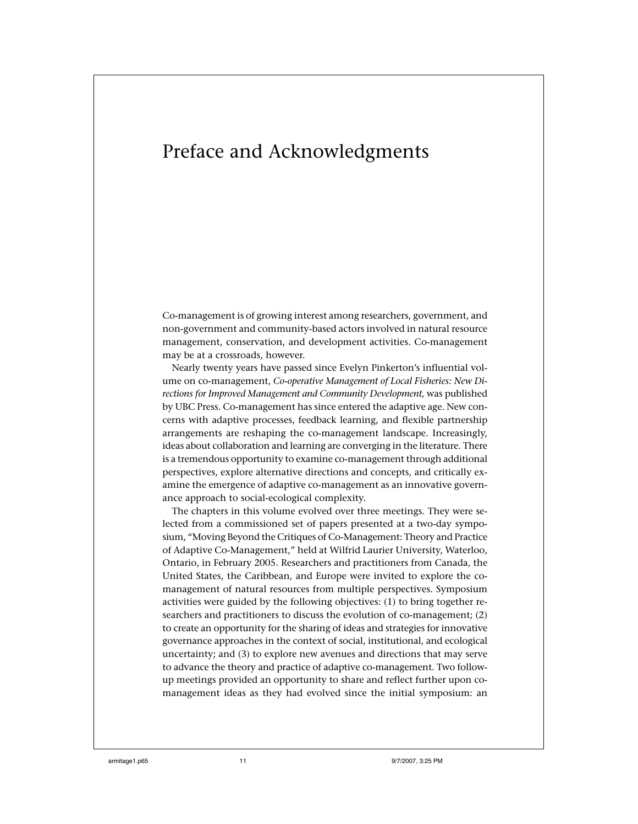## Preface and Acknowledgments

Co-management is of growing interest among researchers, government, and non-government and community-based actors involved in natural resource management, conservation, and development activities. Co-management may be at a crossroads, however.

Nearly twenty years have passed since Evelyn Pinkerton's influential volume on co-management, *Co-operative Management of Local Fisheries: New Directions for Improved Management and Community Development,* was published by UBC Press. Co-management has since entered the adaptive age. New concerns with adaptive processes, feedback learning, and flexible partnership arrangements are reshaping the co-management landscape. Increasingly, ideas about collaboration and learning are converging in the literature. There is a tremendous opportunity to examine co-management through additional perspectives, explore alternative directions and concepts, and critically examine the emergence of adaptive co-management as an innovative governance approach to social-ecological complexity.

The chapters in this volume evolved over three meetings. They were selected from a commissioned set of papers presented at a two-day symposium, "Moving Beyond the Critiques of Co-Management: Theory and Practice of Adaptive Co-Management," held at Wilfrid Laurier University, Waterloo, Ontario, in February 2005. Researchers and practitioners from Canada, the United States, the Caribbean, and Europe were invited to explore the comanagement of natural resources from multiple perspectives. Symposium activities were guided by the following objectives: (1) to bring together researchers and practitioners to discuss the evolution of co-management; (2) to create an opportunity for the sharing of ideas and strategies for innovative governance approaches in the context of social, institutional, and ecological uncertainty; and (3) to explore new avenues and directions that may serve to advance the theory and practice of adaptive co-management. Two followup meetings provided an opportunity to share and reflect further upon comanagement ideas as they had evolved since the initial symposium: an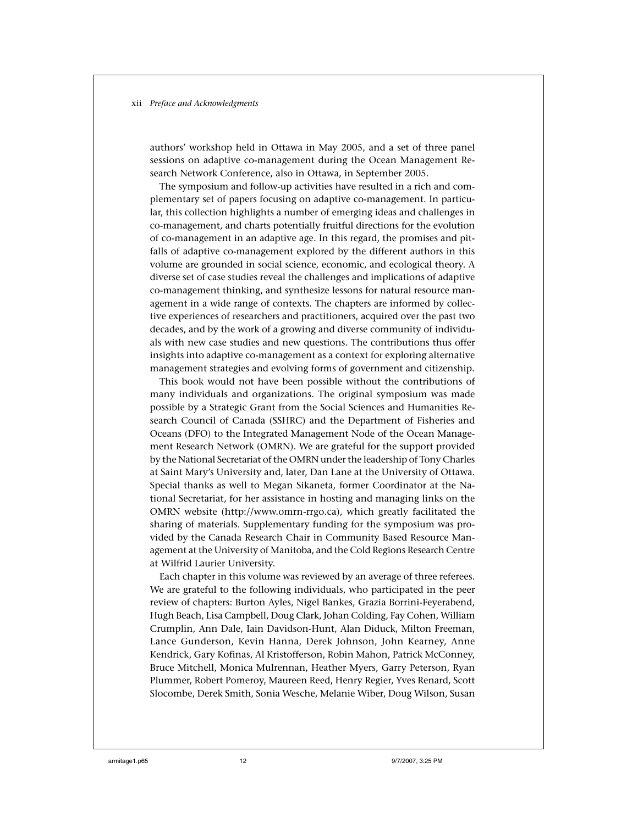xii *Preface and Acknowledgments*

authors' workshop held in Ottawa in May 2005, and a set of three panel sessions on adaptive co-management during the Ocean Management Research Network Conference, also in Ottawa, in September 2005.

The symposium and follow-up activities have resulted in a rich and complementary set of papers focusing on adaptive co-management. In particular, this collection highlights a number of emerging ideas and challenges in co-management, and charts potentially fruitful directions for the evolution of co-management in an adaptive age. In this regard, the promises and pitfalls of adaptive co-management explored by the different authors in this volume are grounded in social science, economic, and ecological theory. A diverse set of case studies reveal the challenges and implications of adaptive co-management thinking, and synthesize lessons for natural resource management in a wide range of contexts. The chapters are informed by collective experiences of researchers and practitioners, acquired over the past two decades, and by the work of a growing and diverse community of individuals with new case studies and new questions. The contributions thus offer insights into adaptive co-management as a context for exploring alternative management strategies and evolving forms of government and citizenship.

This book would not have been possible without the contributions of many individuals and organizations. The original symposium was made possible by a Strategic Grant from the Social Sciences and Humanities Research Council of Canada (SSHRC) and the Department of Fisheries and Oceans (DFO) to the Integrated Management Node of the Ocean Management Research Network (OMRN). We are grateful for the support provided by the National Secretariat of the OMRN under the leadership of Tony Charles at Saint Mary's University and, later, Dan Lane at the University of Ottawa. Special thanks as well to Megan Sikaneta, former Coordinator at the National Secretariat, for her assistance in hosting and managing links on the OMRN website (http://www.omrn-rrgo.ca), which greatly facilitated the sharing of materials. Supplementary funding for the symposium was provided by the Canada Research Chair in Community Based Resource Management at the University of Manitoba, and the Cold Regions Research Centre at Wilfrid Laurier University.

Each chapter in this volume was reviewed by an average of three referees. We are grateful to the following individuals, who participated in the peer review of chapters: Burton Ayles, Nigel Bankes, Grazia Borrini-Feyerabend, Hugh Beach, Lisa Campbell, Doug Clark, Johan Colding, Fay Cohen, William Crumplin, Ann Dale, Iain Davidson-Hunt, Alan Diduck, Milton Freeman, Lance Gunderson, Kevin Hanna, Derek Johnson, John Kearney, Anne Kendrick, Gary Kofinas, Al Kristofferson, Robin Mahon, Patrick McConney, Bruce Mitchell, Monica Mulrennan, Heather Myers, Garry Peterson, Ryan Plummer, Robert Pomeroy, Maureen Reed, Henry Regier, Yves Renard, Scott Slocombe, Derek Smith, Sonia Wesche, Melanie Wiber, Doug Wilson, Susan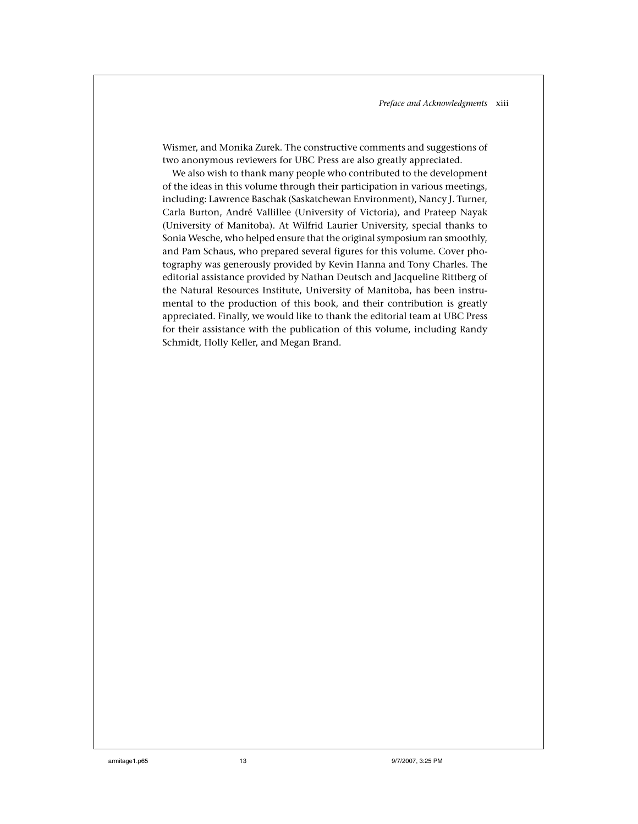Wismer, and Monika Zurek. The constructive comments and suggestions of two anonymous reviewers for UBC Press are also greatly appreciated.

We also wish to thank many people who contributed to the development of the ideas in this volume through their participation in various meetings, including: Lawrence Baschak (Saskatchewan Environment), Nancy J. Turner, Carla Burton, André Vallillee (University of Victoria), and Prateep Nayak (University of Manitoba). At Wilfrid Laurier University, special thanks to Sonia Wesche, who helped ensure that the original symposium ran smoothly, and Pam Schaus, who prepared several figures for this volume. Cover photography was generously provided by Kevin Hanna and Tony Charles. The editorial assistance provided by Nathan Deutsch and Jacqueline Rittberg of the Natural Resources Institute, University of Manitoba, has been instrumental to the production of this book, and their contribution is greatly appreciated. Finally, we would like to thank the editorial team at UBC Press for their assistance with the publication of this volume, including Randy Schmidt, Holly Keller, and Megan Brand.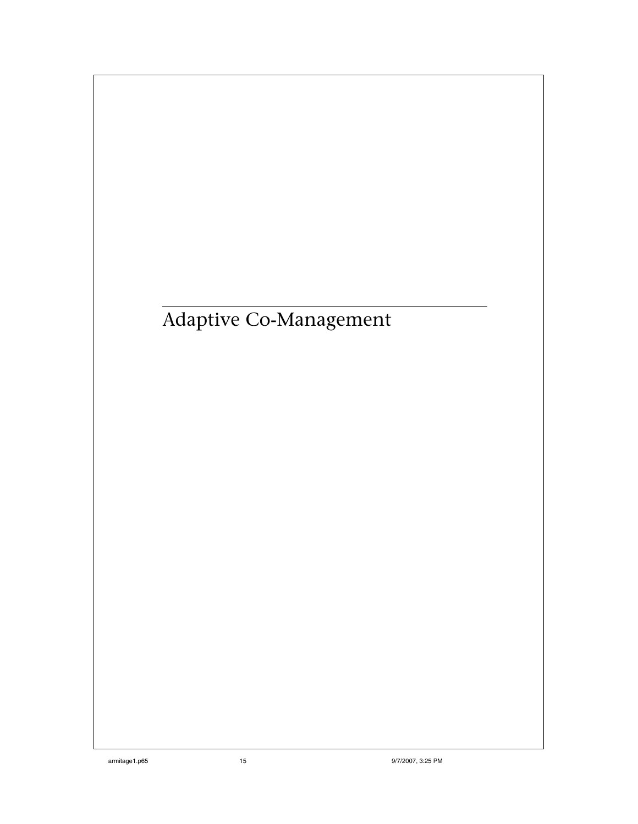# Adaptive Co-Management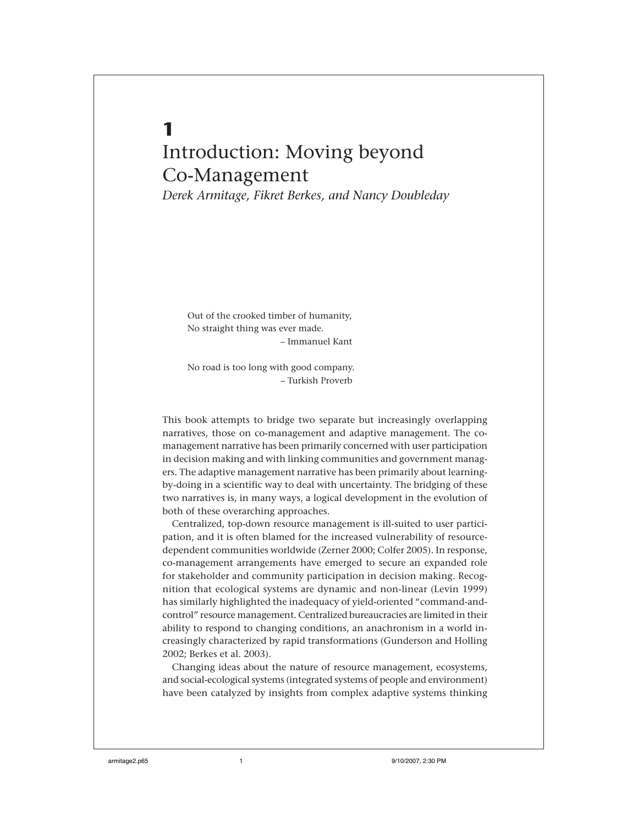# Introduction: Moving beyond Co-Management

**1**

*Derek Armitage, Fikret Berkes, and Nancy Doubleday*

Out of the crooked timber of humanity, No straight thing was ever made. – Immanuel Kant

No road is too long with good company. – Turkish Proverb

This book attempts to bridge two separate but increasingly overlapping narratives, those on co-management and adaptive management. The comanagement narrative has been primarily concerned with user participation in decision making and with linking communities and government managers. The adaptive management narrative has been primarily about learningby-doing in a scientific way to deal with uncertainty. The bridging of these two narratives is, in many ways, a logical development in the evolution of both of these overarching approaches.

Centralized, top-down resource management is ill-suited to user participation, and it is often blamed for the increased vulnerability of resourcedependent communities worldwide (Zerner 2000; Colfer 2005). In response, co-management arrangements have emerged to secure an expanded role for stakeholder and community participation in decision making. Recognition that ecological systems are dynamic and non-linear (Levin 1999) has similarly highlighted the inadequacy of yield-oriented "command-andcontrol" resource management. Centralized bureaucracies are limited in their ability to respond to changing conditions, an anachronism in a world increasingly characterized by rapid transformations (Gunderson and Holling 2002; Berkes et al. 2003).

Changing ideas about the nature of resource management, ecosystems, and social-ecological systems (integrated systems of people and environment) have been catalyzed by insights from complex adaptive systems thinking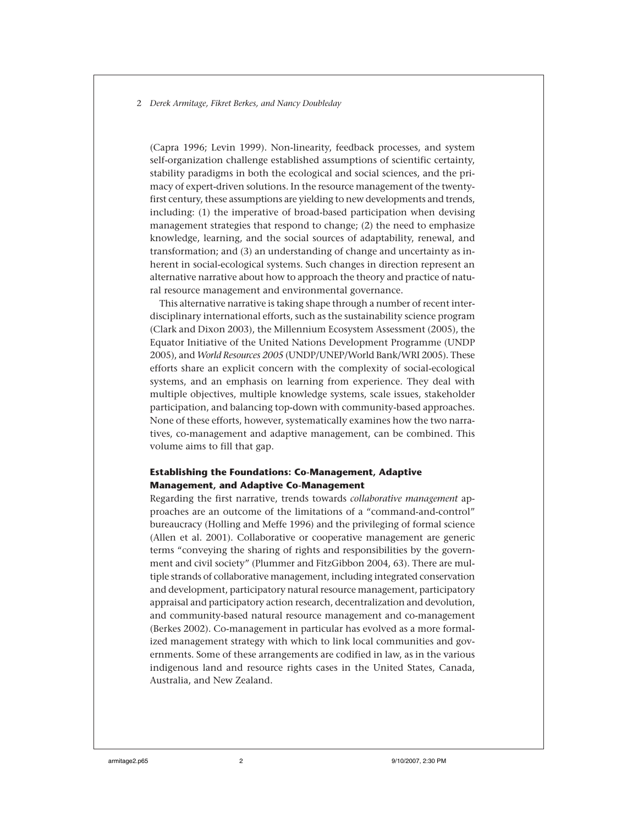(Capra 1996; Levin 1999). Non-linearity, feedback processes, and system self-organization challenge established assumptions of scientific certainty, stability paradigms in both the ecological and social sciences, and the primacy of expert-driven solutions. In the resource management of the twentyfirst century, these assumptions are yielding to new developments and trends, including: (1) the imperative of broad-based participation when devising management strategies that respond to change; (2) the need to emphasize knowledge, learning, and the social sources of adaptability, renewal, and transformation; and (3) an understanding of change and uncertainty as inherent in social-ecological systems. Such changes in direction represent an alternative narrative about how to approach the theory and practice of natural resource management and environmental governance.

This alternative narrative is taking shape through a number of recent interdisciplinary international efforts, such as the sustainability science program (Clark and Dixon 2003), the Millennium Ecosystem Assessment (2005), the Equator Initiative of the United Nations Development Programme (UNDP 2005), and *World Resources 2005* (UNDP/UNEP/World Bank/WRI 2005)*.* These efforts share an explicit concern with the complexity of social-ecological systems, and an emphasis on learning from experience. They deal with multiple objectives, multiple knowledge systems, scale issues, stakeholder participation, and balancing top-down with community-based approaches. None of these efforts, however, systematically examines how the two narratives, co-management and adaptive management, can be combined. This volume aims to fill that gap.

#### **Establishing the Foundations: Co-Management, Adaptive Management, and Adaptive Co-Management**

Regarding the first narrative, trends towards *collaborative management* approaches are an outcome of the limitations of a "command-and-control" bureaucracy (Holling and Meffe 1996) and the privileging of formal science (Allen et al. 2001). Collaborative or cooperative management are generic terms "conveying the sharing of rights and responsibilities by the government and civil society" (Plummer and FitzGibbon 2004, 63). There are multiple strands of collaborative management, including integrated conservation and development, participatory natural resource management, participatory appraisal and participatory action research, decentralization and devolution, and community-based natural resource management and co-management (Berkes 2002). Co-management in particular has evolved as a more formalized management strategy with which to link local communities and governments. Some of these arrangements are codified in law, as in the various indigenous land and resource rights cases in the United States, Canada, Australia, and New Zealand.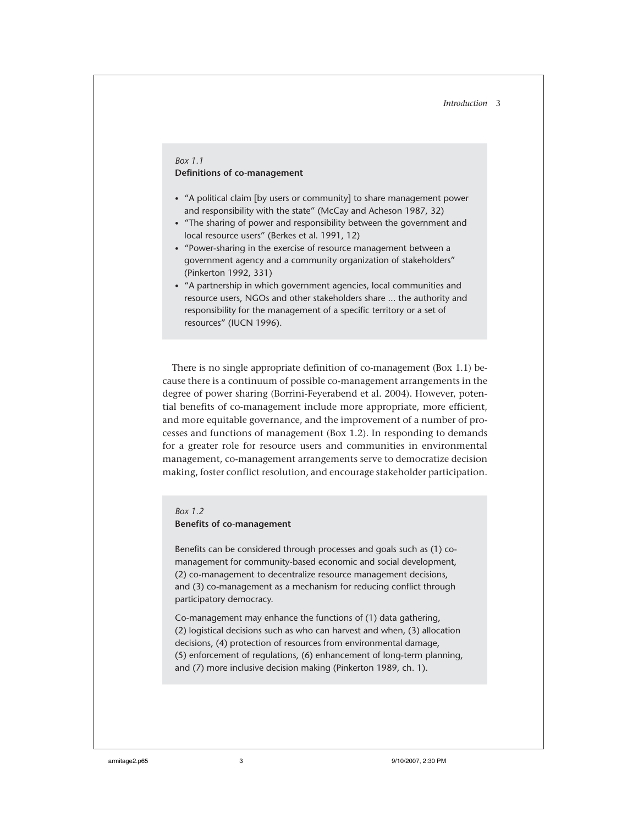*Introduction* 3

## *Box 1.1* **Definitions of co-management**

- "A political claim [by users or community] to share management power and responsibility with the state" (McCay and Acheson 1987, 32)
- "The sharing of power and responsibility between the government and local resource users" (Berkes et al. 1991, 12)
- "Power-sharing in the exercise of resource management between a government agency and a community organization of stakeholders" (Pinkerton 1992, 331)
- "A partnership in which government agencies, local communities and resource users, NGOs and other stakeholders share ... the authority and responsibility for the management of a specific territory or a set of resources" (IUCN 1996).

There is no single appropriate definition of co-management (Box 1.1) because there is a continuum of possible co-management arrangements in the degree of power sharing (Borrini-Feyerabend et al. 2004). However, potential benefits of co-management include more appropriate, more efficient, and more equitable governance, and the improvement of a number of processes and functions of management (Box 1.2). In responding to demands for a greater role for resource users and communities in environmental management, co-management arrangements serve to democratize decision making, foster conflict resolution, and encourage stakeholder participation.

#### *Box 1.2*

#### **Benefits of co-management**

Benefits can be considered through processes and goals such as (1) comanagement for community-based economic and social development, (2) co-management to decentralize resource management decisions, and (3) co-management as a mechanism for reducing conflict through participatory democracy.

Co-management may enhance the functions of (1) data gathering, (2) logistical decisions such as who can harvest and when, (3) allocation decisions, (4) protection of resources from environmental damage, (5) enforcement of regulations, (6) enhancement of long-term planning, and (7) more inclusive decision making (Pinkerton 1989, ch. 1).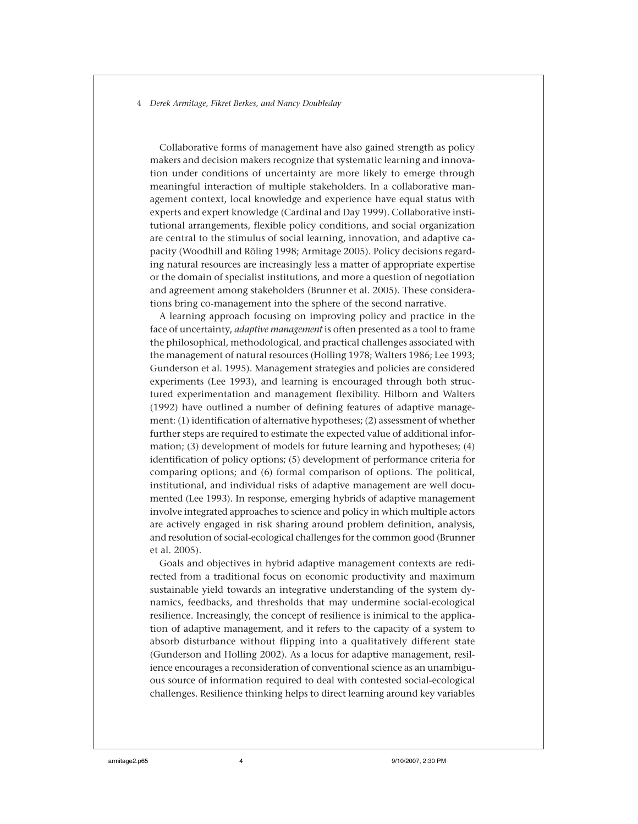Collaborative forms of management have also gained strength as policy makers and decision makers recognize that systematic learning and innovation under conditions of uncertainty are more likely to emerge through meaningful interaction of multiple stakeholders. In a collaborative management context, local knowledge and experience have equal status with experts and expert knowledge (Cardinal and Day 1999). Collaborative institutional arrangements, flexible policy conditions, and social organization are central to the stimulus of social learning, innovation, and adaptive capacity (Woodhill and Röling 1998; Armitage 2005). Policy decisions regarding natural resources are increasingly less a matter of appropriate expertise or the domain of specialist institutions, and more a question of negotiation and agreement among stakeholders (Brunner et al. 2005). These considerations bring co-management into the sphere of the second narrative.

A learning approach focusing on improving policy and practice in the face of uncertainty, *adaptive management* is often presented as a tool to frame the philosophical, methodological, and practical challenges associated with the management of natural resources (Holling 1978; Walters 1986; Lee 1993; Gunderson et al. 1995). Management strategies and policies are considered experiments (Lee 1993), and learning is encouraged through both structured experimentation and management flexibility. Hilborn and Walters (1992) have outlined a number of defining features of adaptive management: (1) identification of alternative hypotheses; (2) assessment of whether further steps are required to estimate the expected value of additional information; (3) development of models for future learning and hypotheses; (4) identification of policy options; (5) development of performance criteria for comparing options; and (6) formal comparison of options. The political, institutional, and individual risks of adaptive management are well documented (Lee 1993). In response, emerging hybrids of adaptive management involve integrated approaches to science and policy in which multiple actors are actively engaged in risk sharing around problem definition, analysis, and resolution of social-ecological challenges for the common good (Brunner et al. 2005).

Goals and objectives in hybrid adaptive management contexts are redirected from a traditional focus on economic productivity and maximum sustainable yield towards an integrative understanding of the system dynamics, feedbacks, and thresholds that may undermine social-ecological resilience. Increasingly, the concept of resilience is inimical to the application of adaptive management, and it refers to the capacity of a system to absorb disturbance without flipping into a qualitatively different state (Gunderson and Holling 2002). As a locus for adaptive management, resilience encourages a reconsideration of conventional science as an unambiguous source of information required to deal with contested social-ecological challenges. Resilience thinking helps to direct learning around key variables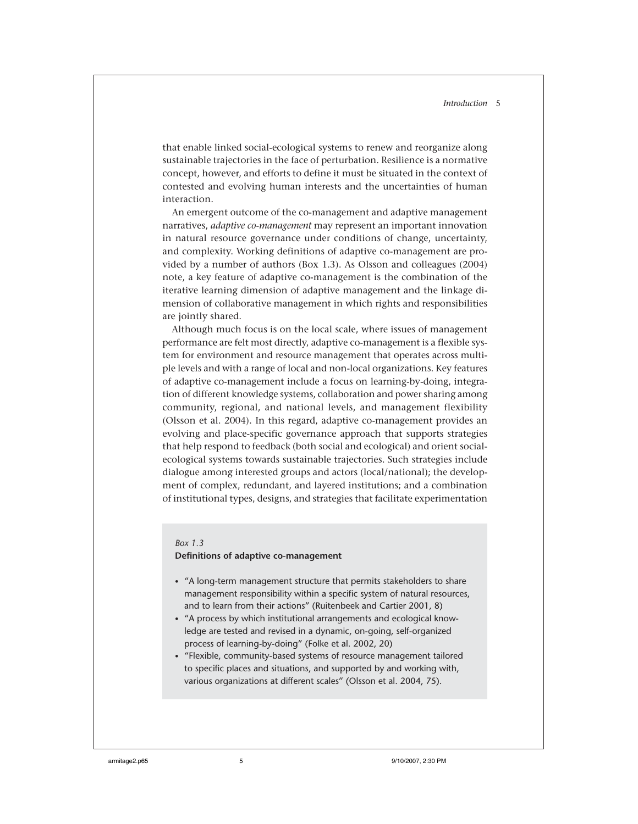that enable linked social-ecological systems to renew and reorganize along sustainable trajectories in the face of perturbation. Resilience is a normative concept, however, and efforts to define it must be situated in the context of contested and evolving human interests and the uncertainties of human interaction.

An emergent outcome of the co-management and adaptive management narratives, *adaptive co-management* may represent an important innovation in natural resource governance under conditions of change, uncertainty, and complexity. Working definitions of adaptive co-management are provided by a number of authors (Box 1.3). As Olsson and colleagues (2004) note, a key feature of adaptive co-management is the combination of the iterative learning dimension of adaptive management and the linkage dimension of collaborative management in which rights and responsibilities are jointly shared.

Although much focus is on the local scale, where issues of management performance are felt most directly, adaptive co-management is a flexible system for environment and resource management that operates across multiple levels and with a range of local and non-local organizations. Key features of adaptive co-management include a focus on learning-by-doing, integration of different knowledge systems, collaboration and power sharing among community, regional, and national levels, and management flexibility (Olsson et al. 2004). In this regard, adaptive co-management provides an evolving and place-specific governance approach that supports strategies that help respond to feedback (both social and ecological) and orient socialecological systems towards sustainable trajectories. Such strategies include dialogue among interested groups and actors (local/national); the development of complex, redundant, and layered institutions; and a combination of institutional types, designs, and strategies that facilitate experimentation

#### *Box 1.3*

#### **Definitions of adaptive co-management**

- "A long-term management structure that permits stakeholders to share management responsibility within a specific system of natural resources, and to learn from their actions" (Ruitenbeek and Cartier 2001, 8)
- "A process by which institutional arrangements and ecological knowledge are tested and revised in a dynamic, on-going, self-organized process of learning-by-doing" (Folke et al. 2002, 20)
- "Flexible, community-based systems of resource management tailored to specific places and situations, and supported by and working with, various organizations at different scales" (Olsson et al. 2004, 75).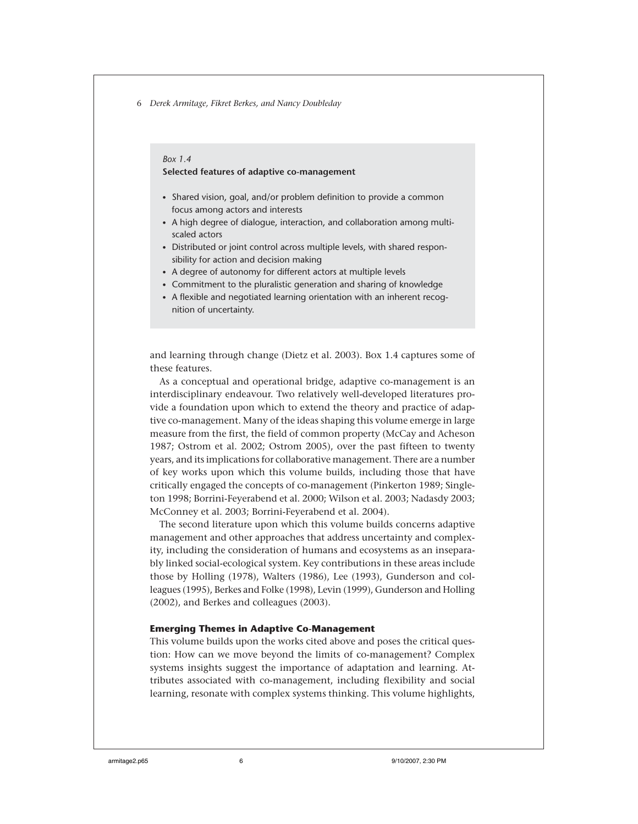### *Box 1.4* **Selected features of adaptive co-management**

- Shared vision, goal, and/or problem definition to provide a common focus among actors and interests
- A high degree of dialogue, interaction, and collaboration among multiscaled actors
- Distributed or joint control across multiple levels, with shared responsibility for action and decision making
- A degree of autonomy for different actors at multiple levels
- Commitment to the pluralistic generation and sharing of knowledge
- A flexible and negotiated learning orientation with an inherent recognition of uncertainty.

and learning through change (Dietz et al. 2003). Box 1.4 captures some of these features.

As a conceptual and operational bridge, adaptive co-management is an interdisciplinary endeavour. Two relatively well-developed literatures provide a foundation upon which to extend the theory and practice of adaptive co-management. Many of the ideas shaping this volume emerge in large measure from the first, the field of common property (McCay and Acheson 1987; Ostrom et al. 2002; Ostrom 2005), over the past fifteen to twenty years, and its implications for collaborative management. There are a number of key works upon which this volume builds, including those that have critically engaged the concepts of co-management (Pinkerton 1989; Singleton 1998; Borrini-Feyerabend et al. 2000; Wilson et al. 2003; Nadasdy 2003; McConney et al. 2003; Borrini-Feyerabend et al. 2004).

The second literature upon which this volume builds concerns adaptive management and other approaches that address uncertainty and complexity, including the consideration of humans and ecosystems as an inseparably linked social-ecological system. Key contributions in these areas include those by Holling (1978), Walters (1986), Lee (1993), Gunderson and colleagues (1995), Berkes and Folke (1998), Levin (1999), Gunderson and Holling (2002), and Berkes and colleagues (2003).

#### **Emerging Themes in Adaptive Co-Management**

This volume builds upon the works cited above and poses the critical question: How can we move beyond the limits of co-management? Complex systems insights suggest the importance of adaptation and learning. Attributes associated with co-management, including flexibility and social learning, resonate with complex systems thinking. This volume highlights,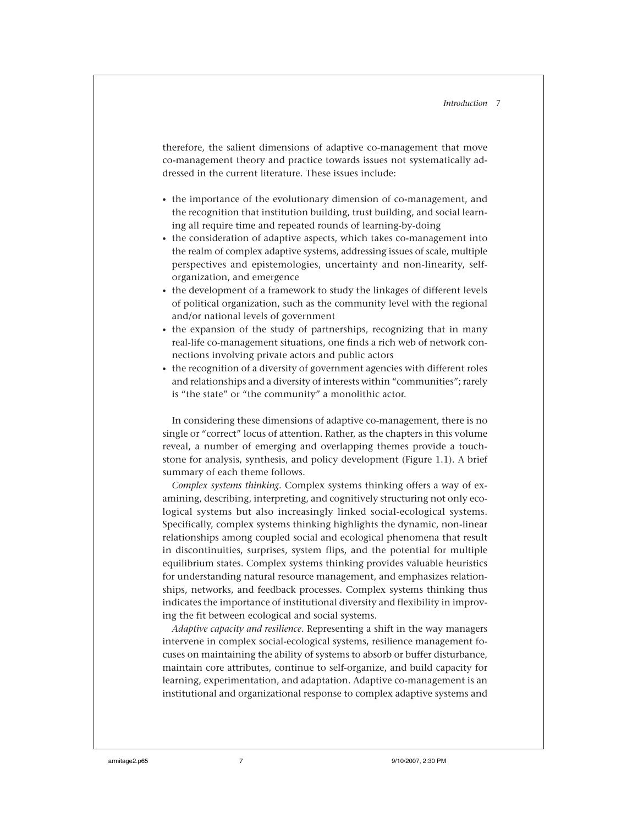therefore, the salient dimensions of adaptive co-management that move co-management theory and practice towards issues not systematically addressed in the current literature. These issues include:

- the importance of the evolutionary dimension of co-management, and the recognition that institution building, trust building, and social learning all require time and repeated rounds of learning-by-doing
- the consideration of adaptive aspects, which takes co-management into the realm of complex adaptive systems, addressing issues of scale, multiple perspectives and epistemologies, uncertainty and non-linearity, selforganization, and emergence
- the development of a framework to study the linkages of different levels of political organization, such as the community level with the regional and/or national levels of government
- the expansion of the study of partnerships, recognizing that in many real-life co-management situations, one finds a rich web of network connections involving private actors and public actors
- the recognition of a diversity of government agencies with different roles and relationships and a diversity of interests within "communities"; rarely is "the state" or "the community" a monolithic actor.

In considering these dimensions of adaptive co-management, there is no single or "correct" locus of attention. Rather, as the chapters in this volume reveal, a number of emerging and overlapping themes provide a touchstone for analysis, synthesis, and policy development (Figure 1.1). A brief summary of each theme follows.

*Complex systems thinking.* Complex systems thinking offers a way of examining, describing, interpreting, and cognitively structuring not only ecological systems but also increasingly linked social-ecological systems. Specifically, complex systems thinking highlights the dynamic, non-linear relationships among coupled social and ecological phenomena that result in discontinuities, surprises, system flips, and the potential for multiple equilibrium states. Complex systems thinking provides valuable heuristics for understanding natural resource management, and emphasizes relationships, networks, and feedback processes. Complex systems thinking thus indicates the importance of institutional diversity and flexibility in improving the fit between ecological and social systems.

*Adaptive capacity and resilience.* Representing a shift in the way managers intervene in complex social-ecological systems, resilience management focuses on maintaining the ability of systems to absorb or buffer disturbance, maintain core attributes, continue to self-organize, and build capacity for learning, experimentation, and adaptation. Adaptive co-management is an institutional and organizational response to complex adaptive systems and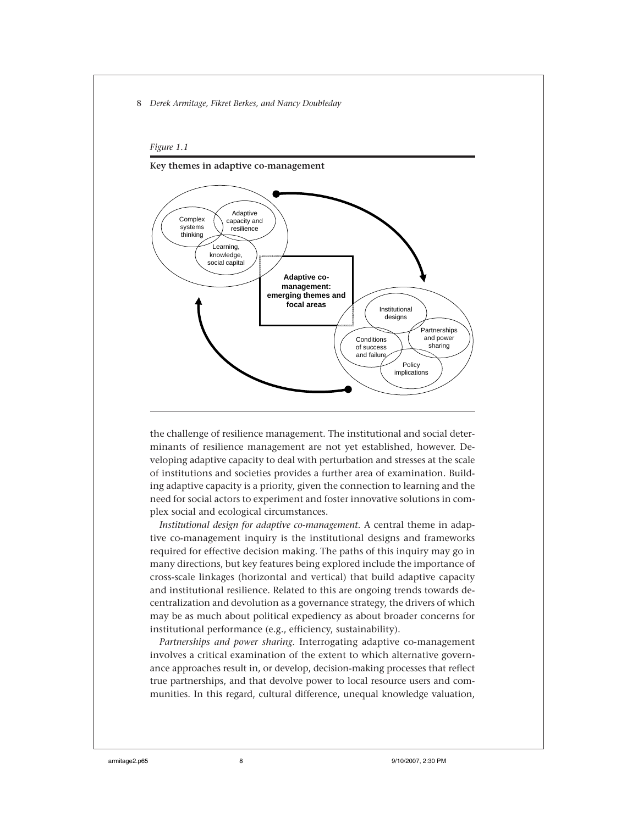



the challenge of resilience management. The institutional and social determinants of resilience management are not yet established, however. Developing adaptive capacity to deal with perturbation and stresses at the scale of institutions and societies provides a further area of examination. Building adaptive capacity is a priority, given the connection to learning and the need for social actors to experiment and foster innovative solutions in complex social and ecological circumstances.

*Institutional design for adaptive co-management.* A central theme in adaptive co-management inquiry is the institutional designs and frameworks required for effective decision making. The paths of this inquiry may go in many directions, but key features being explored include the importance of cross-scale linkages (horizontal and vertical) that build adaptive capacity and institutional resilience. Related to this are ongoing trends towards decentralization and devolution as a governance strategy, the drivers of which may be as much about political expediency as about broader concerns for institutional performance (e.g., efficiency, sustainability).

*Partnerships and power sharing.* Interrogating adaptive co-management involves a critical examination of the extent to which alternative governance approaches result in, or develop, decision-making processes that reflect true partnerships, and that devolve power to local resource users and communities. In this regard, cultural difference, unequal knowledge valuation,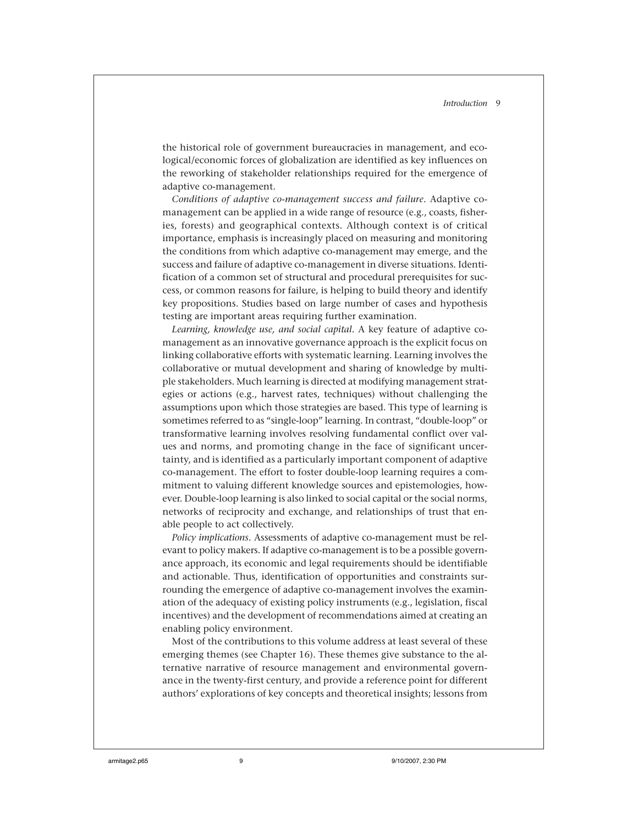the historical role of government bureaucracies in management, and ecological/economic forces of globalization are identified as key influences on the reworking of stakeholder relationships required for the emergence of adaptive co-management.

*Conditions of adaptive co-management success and failure.* Adaptive comanagement can be applied in a wide range of resource (e.g., coasts, fisheries, forests) and geographical contexts. Although context is of critical importance, emphasis is increasingly placed on measuring and monitoring the conditions from which adaptive co-management may emerge, and the success and failure of adaptive co-management in diverse situations. Identification of a common set of structural and procedural prerequisites for success, or common reasons for failure, is helping to build theory and identify key propositions. Studies based on large number of cases and hypothesis testing are important areas requiring further examination.

*Learning, knowledge use, and social capital.* A key feature of adaptive comanagement as an innovative governance approach is the explicit focus on linking collaborative efforts with systematic learning. Learning involves the collaborative or mutual development and sharing of knowledge by multiple stakeholders. Much learning is directed at modifying management strategies or actions (e.g., harvest rates, techniques) without challenging the assumptions upon which those strategies are based. This type of learning is sometimes referred to as "single-loop" learning. In contrast, "double-loop" or transformative learning involves resolving fundamental conflict over values and norms, and promoting change in the face of significant uncertainty, and is identified as a particularly important component of adaptive co-management. The effort to foster double-loop learning requires a commitment to valuing different knowledge sources and epistemologies, however. Double-loop learning is also linked to social capital or the social norms, networks of reciprocity and exchange, and relationships of trust that enable people to act collectively.

*Policy implications.* Assessments of adaptive co-management must be relevant to policy makers. If adaptive co-management is to be a possible governance approach, its economic and legal requirements should be identifiable and actionable. Thus, identification of opportunities and constraints surrounding the emergence of adaptive co-management involves the examination of the adequacy of existing policy instruments (e.g., legislation, fiscal incentives) and the development of recommendations aimed at creating an enabling policy environment.

Most of the contributions to this volume address at least several of these emerging themes (see Chapter 16). These themes give substance to the alternative narrative of resource management and environmental governance in the twenty-first century, and provide a reference point for different authors' explorations of key concepts and theoretical insights; lessons from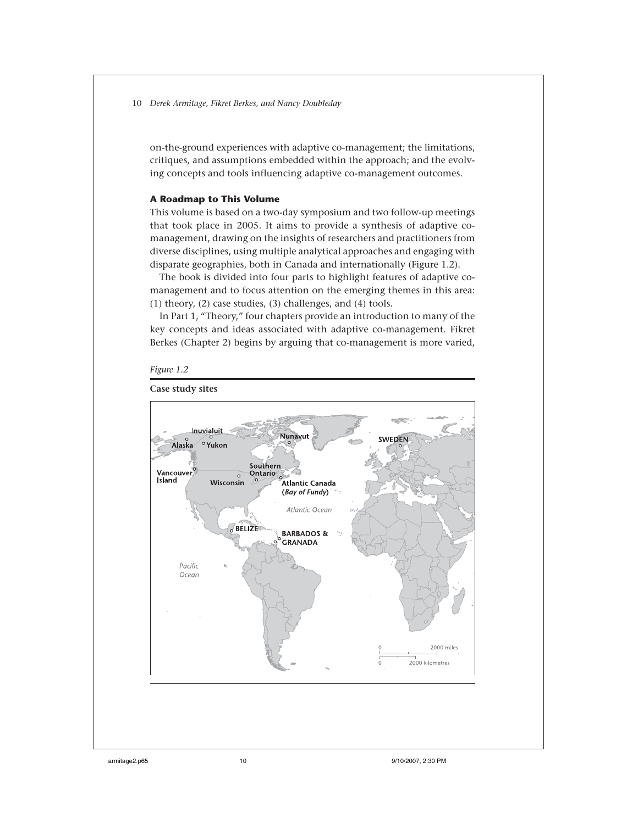on-the-ground experiences with adaptive co-management; the limitations, critiques, and assumptions embedded within the approach; and the evolving concepts and tools influencing adaptive co-management outcomes.

#### **A Roadmap to This Volume**

This volume is based on a two-day symposium and two follow-up meetings that took place in 2005. It aims to provide a synthesis of adaptive comanagement, drawing on the insights of researchers and practitioners from diverse disciplines, using multiple analytical approaches and engaging with disparate geographies, both in Canada and internationally (Figure 1.2).

The book is divided into four parts to highlight features of adaptive comanagement and to focus attention on the emerging themes in this area: (1) theory, (2) case studies, (3) challenges, and (4) tools.

In Part 1, "Theory," four chapters provide an introduction to many of the key concepts and ideas associated with adaptive co-management. Fikret Berkes (Chapter 2) begins by arguing that co-management is more varied,



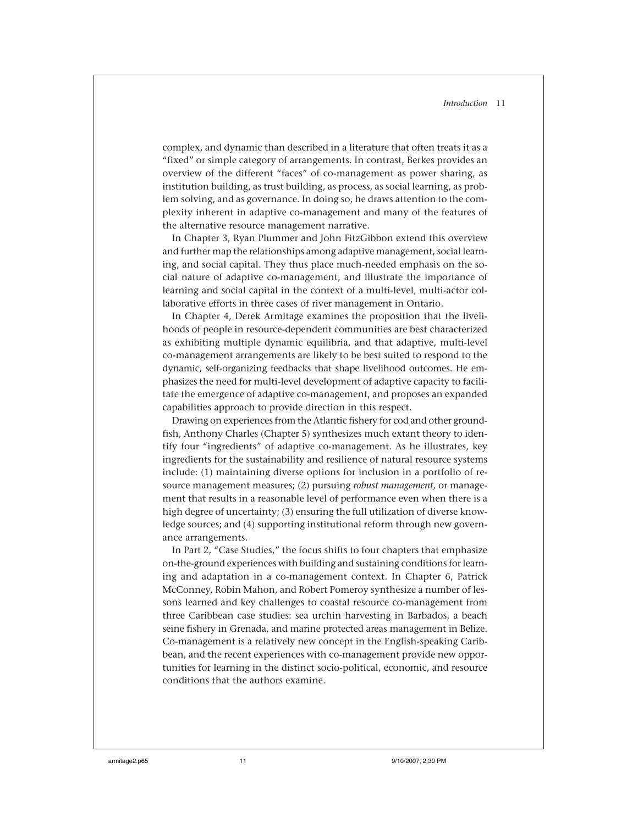complex, and dynamic than described in a literature that often treats it as a "fixed" or simple category of arrangements. In contrast, Berkes provides an overview of the different "faces" of co-management as power sharing, as institution building, as trust building, as process, as social learning, as problem solving, and as governance. In doing so, he draws attention to the complexity inherent in adaptive co-management and many of the features of the alternative resource management narrative.

In Chapter 3, Ryan Plummer and John FitzGibbon extend this overview and further map the relationships among adaptive management, social learning, and social capital. They thus place much-needed emphasis on the social nature of adaptive co-management, and illustrate the importance of learning and social capital in the context of a multi-level, multi-actor collaborative efforts in three cases of river management in Ontario.

In Chapter 4, Derek Armitage examines the proposition that the livelihoods of people in resource-dependent communities are best characterized as exhibiting multiple dynamic equilibria, and that adaptive, multi-level co-management arrangements are likely to be best suited to respond to the dynamic, self-organizing feedbacks that shape livelihood outcomes. He emphasizes the need for multi-level development of adaptive capacity to facilitate the emergence of adaptive co-management, and proposes an expanded capabilities approach to provide direction in this respect.

Drawing on experiences from the Atlantic fishery for cod and other groundfish, Anthony Charles (Chapter 5) synthesizes much extant theory to identify four "ingredients" of adaptive co-management. As he illustrates, key ingredients for the sustainability and resilience of natural resource systems include: (1) maintaining diverse options for inclusion in a portfolio of resource management measures; (2) pursuing *robust management,* or management that results in a reasonable level of performance even when there is a high degree of uncertainty; (3) ensuring the full utilization of diverse knowledge sources; and (4) supporting institutional reform through new governance arrangements.

In Part 2, "Case Studies," the focus shifts to four chapters that emphasize on-the-ground experiences with building and sustaining conditions for learning and adaptation in a co-management context. In Chapter 6, Patrick McConney, Robin Mahon, and Robert Pomeroy synthesize a number of lessons learned and key challenges to coastal resource co-management from three Caribbean case studies: sea urchin harvesting in Barbados, a beach seine fishery in Grenada, and marine protected areas management in Belize. Co-management is a relatively new concept in the English-speaking Caribbean, and the recent experiences with co-management provide new opportunities for learning in the distinct socio-political, economic, and resource conditions that the authors examine.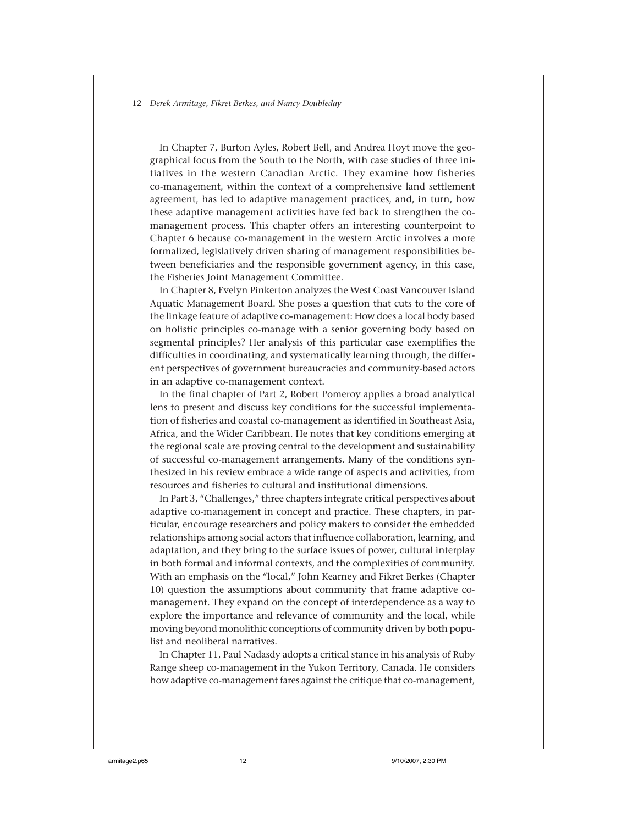In Chapter 7, Burton Ayles, Robert Bell, and Andrea Hoyt move the geographical focus from the South to the North, with case studies of three initiatives in the western Canadian Arctic. They examine how fisheries co-management, within the context of a comprehensive land settlement agreement, has led to adaptive management practices, and, in turn, how these adaptive management activities have fed back to strengthen the comanagement process. This chapter offers an interesting counterpoint to Chapter 6 because co-management in the western Arctic involves a more formalized, legislatively driven sharing of management responsibilities between beneficiaries and the responsible government agency, in this case, the Fisheries Joint Management Committee.

In Chapter 8, Evelyn Pinkerton analyzes the West Coast Vancouver Island Aquatic Management Board. She poses a question that cuts to the core of the linkage feature of adaptive co-management: How does a local body based on holistic principles co-manage with a senior governing body based on segmental principles? Her analysis of this particular case exemplifies the difficulties in coordinating, and systematically learning through, the different perspectives of government bureaucracies and community-based actors in an adaptive co-management context.

In the final chapter of Part 2, Robert Pomeroy applies a broad analytical lens to present and discuss key conditions for the successful implementation of fisheries and coastal co-management as identified in Southeast Asia, Africa, and the Wider Caribbean. He notes that key conditions emerging at the regional scale are proving central to the development and sustainability of successful co-management arrangements. Many of the conditions synthesized in his review embrace a wide range of aspects and activities, from resources and fisheries to cultural and institutional dimensions.

In Part 3, "Challenges," three chapters integrate critical perspectives about adaptive co-management in concept and practice. These chapters, in particular, encourage researchers and policy makers to consider the embedded relationships among social actors that influence collaboration, learning, and adaptation, and they bring to the surface issues of power, cultural interplay in both formal and informal contexts, and the complexities of community. With an emphasis on the "local," John Kearney and Fikret Berkes (Chapter 10) question the assumptions about community that frame adaptive comanagement. They expand on the concept of interdependence as a way to explore the importance and relevance of community and the local, while moving beyond monolithic conceptions of community driven by both populist and neoliberal narratives.

In Chapter 11, Paul Nadasdy adopts a critical stance in his analysis of Ruby Range sheep co-management in the Yukon Territory, Canada. He considers how adaptive co-management fares against the critique that co-management,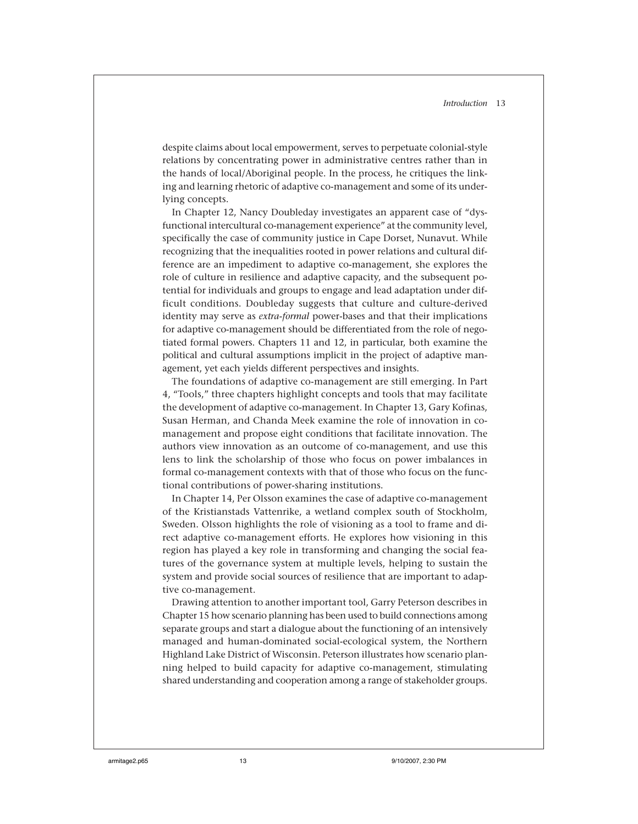despite claims about local empowerment, serves to perpetuate colonial-style relations by concentrating power in administrative centres rather than in the hands of local/Aboriginal people. In the process, he critiques the linking and learning rhetoric of adaptive co-management and some of its underlying concepts.

In Chapter 12, Nancy Doubleday investigates an apparent case of "dysfunctional intercultural co-management experience" at the community level, specifically the case of community justice in Cape Dorset, Nunavut. While recognizing that the inequalities rooted in power relations and cultural difference are an impediment to adaptive co-management, she explores the role of culture in resilience and adaptive capacity, and the subsequent potential for individuals and groups to engage and lead adaptation under difficult conditions. Doubleday suggests that culture and culture-derived identity may serve as *extra-formal* power-bases and that their implications for adaptive co-management should be differentiated from the role of negotiated formal powers. Chapters 11 and 12, in particular, both examine the political and cultural assumptions implicit in the project of adaptive management, yet each yields different perspectives and insights.

The foundations of adaptive co-management are still emerging. In Part 4, "Tools," three chapters highlight concepts and tools that may facilitate the development of adaptive co-management. In Chapter 13, Gary Kofinas, Susan Herman, and Chanda Meek examine the role of innovation in comanagement and propose eight conditions that facilitate innovation. The authors view innovation as an outcome of co-management, and use this lens to link the scholarship of those who focus on power imbalances in formal co-management contexts with that of those who focus on the functional contributions of power-sharing institutions.

In Chapter 14, Per Olsson examines the case of adaptive co-management of the Kristianstads Vattenrike, a wetland complex south of Stockholm, Sweden. Olsson highlights the role of visioning as a tool to frame and direct adaptive co-management efforts. He explores how visioning in this region has played a key role in transforming and changing the social features of the governance system at multiple levels, helping to sustain the system and provide social sources of resilience that are important to adaptive co-management.

Drawing attention to another important tool, Garry Peterson describes in Chapter 15 how scenario planning has been used to build connections among separate groups and start a dialogue about the functioning of an intensively managed and human-dominated social-ecological system, the Northern Highland Lake District of Wisconsin. Peterson illustrates how scenario planning helped to build capacity for adaptive co-management, stimulating shared understanding and cooperation among a range of stakeholder groups.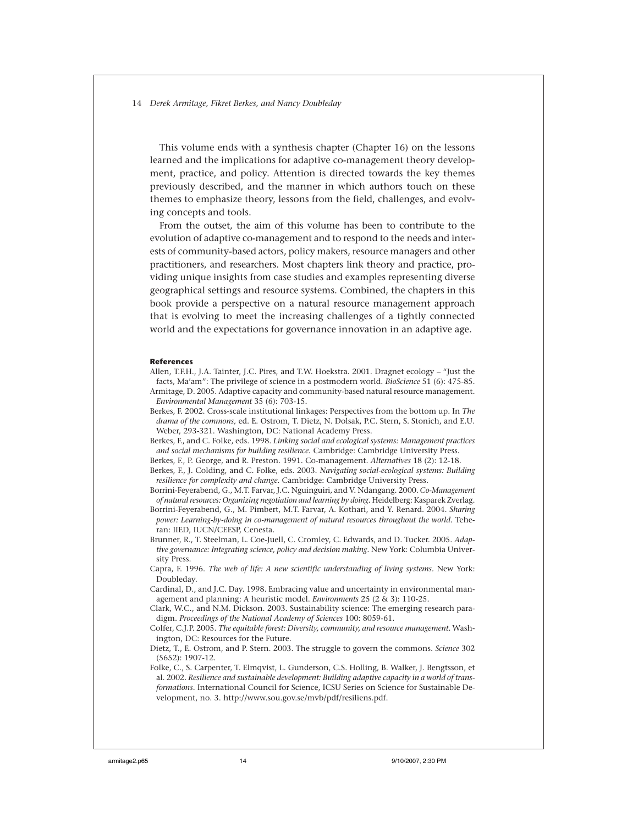This volume ends with a synthesis chapter (Chapter 16) on the lessons learned and the implications for adaptive co-management theory development, practice, and policy. Attention is directed towards the key themes previously described, and the manner in which authors touch on these themes to emphasize theory, lessons from the field, challenges, and evolving concepts and tools.

From the outset, the aim of this volume has been to contribute to the evolution of adaptive co-management and to respond to the needs and interests of community-based actors, policy makers, resource managers and other practitioners, and researchers. Most chapters link theory and practice, providing unique insights from case studies and examples representing diverse geographical settings and resource systems. Combined, the chapters in this book provide a perspective on a natural resource management approach that is evolving to meet the increasing challenges of a tightly connected world and the expectations for governance innovation in an adaptive age.

#### **References**

- Allen, T.F.H., J.A. Tainter, J.C. Pires, and T.W. Hoekstra. 2001. Dragnet ecology "Just the facts, Ma'am": The privilege of science in a postmodern world. *BioScience* 51 (6): 475-85. Armitage, D. 2005. Adaptive capacity and community-based natural resource management. *Environmental Management* 35 (6): 703-15.
- Berkes, F. 2002. Cross-scale institutional linkages: Perspectives from the bottom up. In *The drama of the commons,* ed. E. Ostrom, T. Dietz, N. Dolsak, P.C. Stern, S. Stonich, and E.U. Weber, 293-321. Washington, DC: National Academy Press.
- Berkes, F., and C. Folke, eds. 1998. *Linking social and ecological systems: Management practices and social mechanisms for building resilience.* Cambridge: Cambridge University Press.

Berkes, F., P. George, and R. Preston. 1991. Co-management. *Alternatives* 18 (2): 12-18. Berkes, F., J. Colding, and C. Folke, eds. 2003. *Navigating social-ecological systems: Building*

*resilience for complexity and change.* Cambridge: Cambridge University Press. Borrini-Feyerabend, G., M.T. Farvar, J.C. Nguinguiri, and V. Ndangang. 2000. *Co-Management*

- *of natural resources: Organizing negotiation and learning by doing.* Heidelberg: Kasparek Zverlag. Borrini-Feyerabend, G., M. Pimbert, M.T. Farvar, A. Kothari, and Y. Renard. 2004. *Sharing*
- *power: Learning-by-doing in co-management of natural resources throughout the world.* Teheran: IIED, IUCN/CEESP, Cenesta.
- Brunner, R., T. Steelman, L. Coe-Juell, C. Cromley, C. Edwards, and D. Tucker. 2005. *Adaptive governance: Integrating science, policy and decision making.* New York: Columbia University Press.
- Capra, F. 1996. *The web of life: A new scientific understanding of living systems.* New York: Doubleday.
- Cardinal, D., and J.C. Day. 1998. Embracing value and uncertainty in environmental management and planning: A heuristic model. *Environments* 25 (2 & 3): 110-25.
- Clark, W.C., and N.M. Dickson. 2003. Sustainability science: The emerging research paradigm. *Proceedings of the National Academy of Sciences* 100: 8059-61.
- Colfer, C.J.P. 2005. *The equitable forest: Diversity, community, and resource management.* Washington, DC: Resources for the Future.
- Dietz, T., E. Ostrom, and P. Stern. 2003. The struggle to govern the commons. *Science* 302 (5652): 1907-12.
- Folke, C., S. Carpenter, T. Elmqvist, L. Gunderson, C.S. Holling, B. Walker, J. Bengtsson, et al. 2002. *Resilience and sustainable development: Building adaptive capacity in a world of transformations.* International Council for Science, ICSU Series on Science for Sustainable Development, no. 3. http://www.sou.gov.se/mvb/pdf/resiliens.pdf.